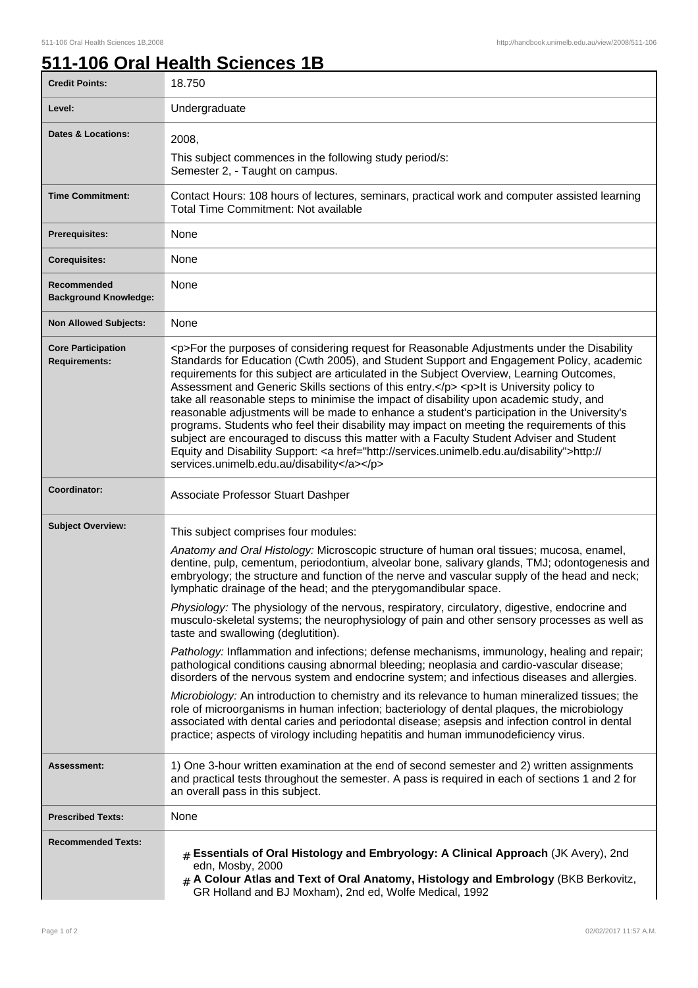## **511-106 Oral Health Sciences 1B**

| <b>Credit Points:</b>                             | 18.750                                                                                                                                                                                                                                                                                                                                                                                                                                                                                                                                                                                                                                                                                                                                                                                                                                                                                                                                                                                                                                                                                                                                                                                                                                                                                                                               |
|---------------------------------------------------|--------------------------------------------------------------------------------------------------------------------------------------------------------------------------------------------------------------------------------------------------------------------------------------------------------------------------------------------------------------------------------------------------------------------------------------------------------------------------------------------------------------------------------------------------------------------------------------------------------------------------------------------------------------------------------------------------------------------------------------------------------------------------------------------------------------------------------------------------------------------------------------------------------------------------------------------------------------------------------------------------------------------------------------------------------------------------------------------------------------------------------------------------------------------------------------------------------------------------------------------------------------------------------------------------------------------------------------|
| Level:                                            | Undergraduate                                                                                                                                                                                                                                                                                                                                                                                                                                                                                                                                                                                                                                                                                                                                                                                                                                                                                                                                                                                                                                                                                                                                                                                                                                                                                                                        |
| Dates & Locations:                                | 2008,<br>This subject commences in the following study period/s:<br>Semester 2, - Taught on campus.                                                                                                                                                                                                                                                                                                                                                                                                                                                                                                                                                                                                                                                                                                                                                                                                                                                                                                                                                                                                                                                                                                                                                                                                                                  |
| <b>Time Commitment:</b>                           | Contact Hours: 108 hours of lectures, seminars, practical work and computer assisted learning<br>Total Time Commitment: Not available                                                                                                                                                                                                                                                                                                                                                                                                                                                                                                                                                                                                                                                                                                                                                                                                                                                                                                                                                                                                                                                                                                                                                                                                |
| <b>Prerequisites:</b>                             | None                                                                                                                                                                                                                                                                                                                                                                                                                                                                                                                                                                                                                                                                                                                                                                                                                                                                                                                                                                                                                                                                                                                                                                                                                                                                                                                                 |
| <b>Corequisites:</b>                              | None                                                                                                                                                                                                                                                                                                                                                                                                                                                                                                                                                                                                                                                                                                                                                                                                                                                                                                                                                                                                                                                                                                                                                                                                                                                                                                                                 |
| Recommended<br><b>Background Knowledge:</b>       | None                                                                                                                                                                                                                                                                                                                                                                                                                                                                                                                                                                                                                                                                                                                                                                                                                                                                                                                                                                                                                                                                                                                                                                                                                                                                                                                                 |
| <b>Non Allowed Subjects:</b>                      | None                                                                                                                                                                                                                                                                                                                                                                                                                                                                                                                                                                                                                                                                                                                                                                                                                                                                                                                                                                                                                                                                                                                                                                                                                                                                                                                                 |
| <b>Core Participation</b><br><b>Requirements:</b> | <p>For the purposes of considering request for Reasonable Adjustments under the Disability<br/>Standards for Education (Cwth 2005), and Student Support and Engagement Policy, academic<br/>requirements for this subject are articulated in the Subject Overview, Learning Outcomes,<br/>Assessment and Generic Skills sections of this entry.</p> <p>lt is University policy to<br/>take all reasonable steps to minimise the impact of disability upon academic study, and<br/>reasonable adjustments will be made to enhance a student's participation in the University's<br/>programs. Students who feel their disability may impact on meeting the requirements of this<br/>subject are encouraged to discuss this matter with a Faculty Student Adviser and Student<br/>Equity and Disability Support: &lt; a href="http://services.unimelb.edu.au/disability"&gt;http://<br/>services.unimelb.edu.au/disability</p>                                                                                                                                                                                                                                                                                                                                                                                                         |
| Coordinator:                                      | Associate Professor Stuart Dashper                                                                                                                                                                                                                                                                                                                                                                                                                                                                                                                                                                                                                                                                                                                                                                                                                                                                                                                                                                                                                                                                                                                                                                                                                                                                                                   |
| <b>Subject Overview:</b>                          | This subject comprises four modules:<br>Anatomy and Oral Histology: Microscopic structure of human oral tissues; mucosa, enamel,<br>dentine, pulp, cementum, periodontium, alveolar bone, salivary glands, TMJ; odontogenesis and<br>embryology; the structure and function of the nerve and vascular supply of the head and neck;<br>lymphatic drainage of the head; and the pterygomandibular space.<br>Physiology: The physiology of the nervous, respiratory, circulatory, digestive, endocrine and<br>musculo-skeletal systems; the neurophysiology of pain and other sensory processes as well as<br>taste and swallowing (deglutition).<br>Pathology: Inflammation and infections; defense mechanisms, immunology, healing and repair;<br>pathological conditions causing abnormal bleeding; neoplasia and cardio-vascular disease;<br>disorders of the nervous system and endocrine system; and infectious diseases and allergies.<br>Microbiology: An introduction to chemistry and its relevance to human mineralized tissues; the<br>role of microorganisms in human infection; bacteriology of dental plaques, the microbiology<br>associated with dental caries and periodontal disease; asepsis and infection control in dental<br>practice; aspects of virology including hepatitis and human immunodeficiency virus. |
| Assessment:                                       | 1) One 3-hour written examination at the end of second semester and 2) written assignments<br>and practical tests throughout the semester. A pass is required in each of sections 1 and 2 for<br>an overall pass in this subject.                                                                                                                                                                                                                                                                                                                                                                                                                                                                                                                                                                                                                                                                                                                                                                                                                                                                                                                                                                                                                                                                                                    |
| <b>Prescribed Texts:</b>                          | None                                                                                                                                                                                                                                                                                                                                                                                                                                                                                                                                                                                                                                                                                                                                                                                                                                                                                                                                                                                                                                                                                                                                                                                                                                                                                                                                 |
| <b>Recommended Texts:</b>                         | $#$ Essentials of Oral Histology and Embryology: A Clinical Approach (JK Avery), 2nd<br>edn, Mosby, 2000<br>$#$ A Colour Atlas and Text of Oral Anatomy, Histology and Embrology (BKB Berkovitz,<br>GR Holland and BJ Moxham), 2nd ed, Wolfe Medical, 1992                                                                                                                                                                                                                                                                                                                                                                                                                                                                                                                                                                                                                                                                                                                                                                                                                                                                                                                                                                                                                                                                           |